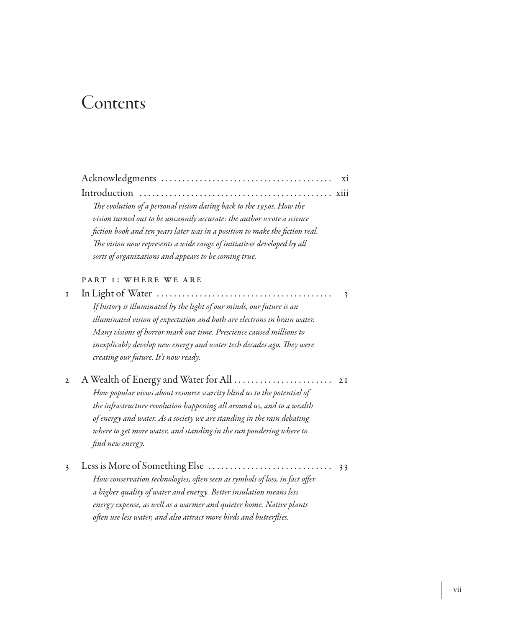# Contents

| $\overline{X}$                                                               |
|------------------------------------------------------------------------------|
|                                                                              |
| The evolution of a personal vision dating back to the 1950s. How the         |
| vision turned out to be uncannily accurate: the author wrote a science       |
| fiction book and ten years later was in a position to make the fiction real. |
| The vision now represents a wide range of initiatives developed by all       |
| sorts of organizations and appears to be coming true.                        |

### PART I: WHERE WE ARE

| 2 I                                  |
|--------------------------------------|
|                                      |
|                                      |
|                                      |
|                                      |
|                                      |
| A Wealth of Energy and Water for All |

|  | How conservation technologies, often seen as symbols of loss, in fact offer |  |
|--|-----------------------------------------------------------------------------|--|
|  | a higher quality of water and energy. Better insulation means less          |  |
|  | energy expense, as well as a warmer and quieter home. Native plants         |  |
|  | often use less water, and also attract more birds and butterflies.          |  |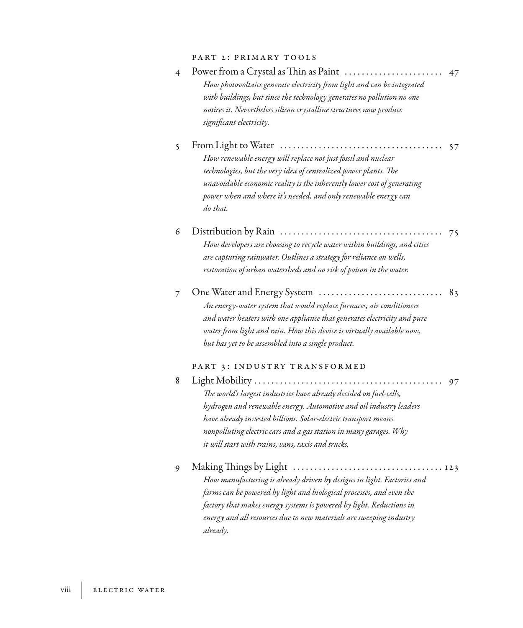#### Part 2: Primary Tools

| $\overline{4}$ | Power from a Crystal as Thin as Paint<br>How photovoltaics generate electricity from light and can be integrated<br>with buildings, but since the technology generates no pollution no one<br>notices it. Nevertheless silicon crystalline structures now produce<br>significant electricity.                                                                                           | 47 |
|----------------|-----------------------------------------------------------------------------------------------------------------------------------------------------------------------------------------------------------------------------------------------------------------------------------------------------------------------------------------------------------------------------------------|----|
| 5              | From Light to Water<br>How renewable energy will replace not just fossil and nuclear<br>technologies, but the very idea of centralized power plants. The<br>unavoidable economic reality is the inherently lower cost of generating<br>power when and where it's needed, and only renewable energy can<br>do that.                                                                      | 57 |
| 6              | Distribution by Rain<br>How developers are choosing to recycle water within buildings, and cities<br>are capturing rainwater. Outlines a strategy for reliance on wells,<br>restoration of urban watersheds and no risk of poison in the water.                                                                                                                                         | 75 |
|                | One Water and Energy System<br>An energy-water system that would replace furnaces, air conditioners<br>and water heaters with one appliance that generates electricity and pure<br>water from light and rain. How this device is virtually available now,<br>but has yet to be assembled into a single product.                                                                         | 83 |
| 8              | PART 3: INDUSTRY TRANSFORMED<br>Light Mobility<br>The world's largest industries have already decided on fuel-cells,<br>hydrogen and renewable energy. Automotive and oil industry leaders<br>have already invested billions. Solar-electric transport means<br>nonpolluting electric cars and a gas station in many garages. Why<br>it will start with trains, vans, taxis and trucks. | 97 |
| 9              | Making Things by Light<br>$\cdots \cdots$ 123<br>How manufacturing is already driven by designs in light. Factories and<br>farms can be powered by light and biological processes, and even the<br>factory that makes energy systems is powered by light. Reductions in<br>energy and all resources due to new materials are sweeping industry<br>already.                              |    |